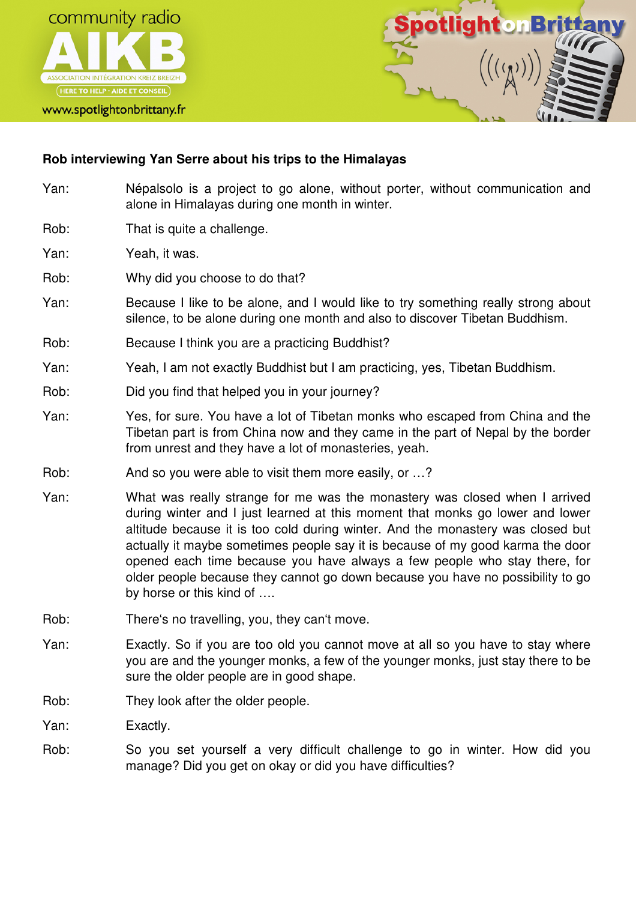



## **Rob interviewing Yan Serre about his trips to the Himalayas**

- Yan: Népalsolo is a project to go alone, without porter, without communication and alone in Himalayas during one month in winter.
- Rob: That is quite a challenge.
- Yan: Yeah, it was.
- Rob: Why did you choose to do that?
- Yan: Because I like to be alone, and I would like to try something really strong about silence, to be alone during one month and also to discover Tibetan Buddhism.
- Rob: Because I think you are a practicing Buddhist?
- Yan: Yeah, I am not exactly Buddhist but I am practicing, yes, Tibetan Buddhism.
- Rob: Did you find that helped you in your journey?
- Yan: Yes, for sure. You have a lot of Tibetan monks who escaped from China and the Tibetan part is from China now and they came in the part of Nepal by the border from unrest and they have a lot of monasteries, yeah.
- Rob: And so you were able to visit them more easily, or ...?
- Yan: What was really strange for me was the monastery was closed when I arrived during winter and I just learned at this moment that monks go lower and lower altitude because it is too cold during winter. And the monastery was closed but actually it maybe sometimes people say it is because of my good karma the door opened each time because you have always a few people who stay there, for older people because they cannot go down because you have no possibility to go by horse or this kind of ….
- Rob: There's no travelling, you, they can't move.
- Yan: Exactly. So if you are too old you cannot move at all so you have to stay where you are and the younger monks, a few of the younger monks, just stay there to be sure the older people are in good shape.
- Rob: They look after the older people.
- Yan: Exactly.
- Rob: So you set yourself a very difficult challenge to go in winter. How did you manage? Did you get on okay or did you have difficulties?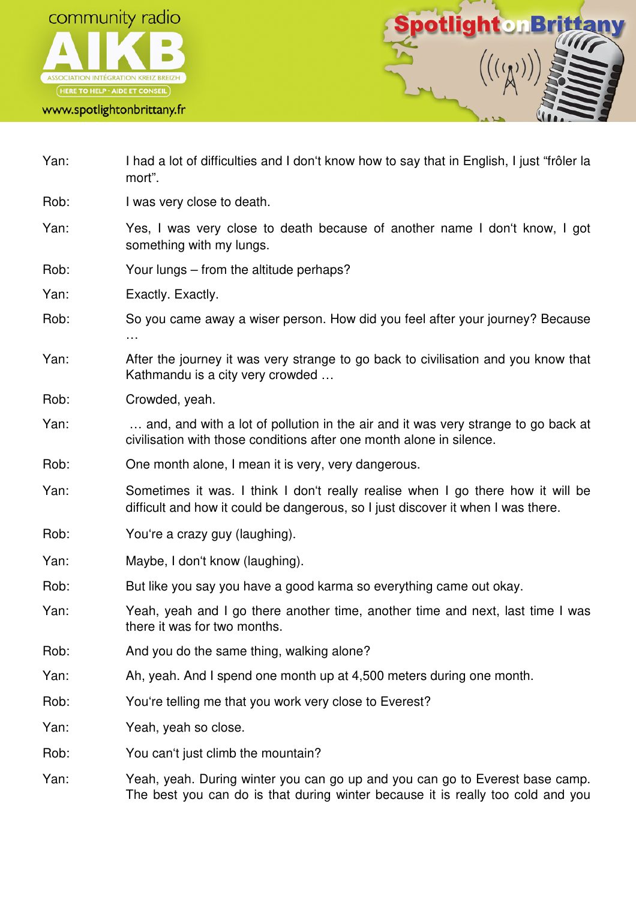



- Yan: I had a lot of difficulties and I don't know how to say that in English, I just "frôler la mort".
- Rob: I was very close to death.
- Yan: Yes, I was very close to death because of another name I don't know, I got something with my lungs.
- Rob: Your lungs from the altitude perhaps?
- Yan: Exactly. Exactly.
- Rob: So you came away a wiser person. How did you feel after your journey? Because …
- Yan: After the journey it was very strange to go back to civilisation and you know that Kathmandu is a city very crowded …
- Rob: Crowded, yeah.
- Yan: … and, and with a lot of pollution in the air and it was very strange to go back at civilisation with those conditions after one month alone in silence.
- Rob: One month alone, I mean it is very, very dangerous.
- Yan: Sometimes it was. I think I don't really realise when I go there how it will be difficult and how it could be dangerous, so I just discover it when I was there.
- Rob: You're a crazy guy (laughing).
- Yan: Maybe, I don't know (laughing).
- Rob: But like you say you have a good karma so everything came out okay.
- Yan: Yeah, yeah and I go there another time, another time and next, last time I was there it was for two months.
- Rob: And you do the same thing, walking alone?
- Yan: Ah, yeah. And I spend one month up at 4,500 meters during one month.
- Rob: You're telling me that you work very close to Everest?
- Yan: Yeah, yeah so close.
- Rob: You can't just climb the mountain?
- Yan: Yeah, yeah. During winter you can go up and you can go to Everest base camp. The best you can do is that during winter because it is really too cold and you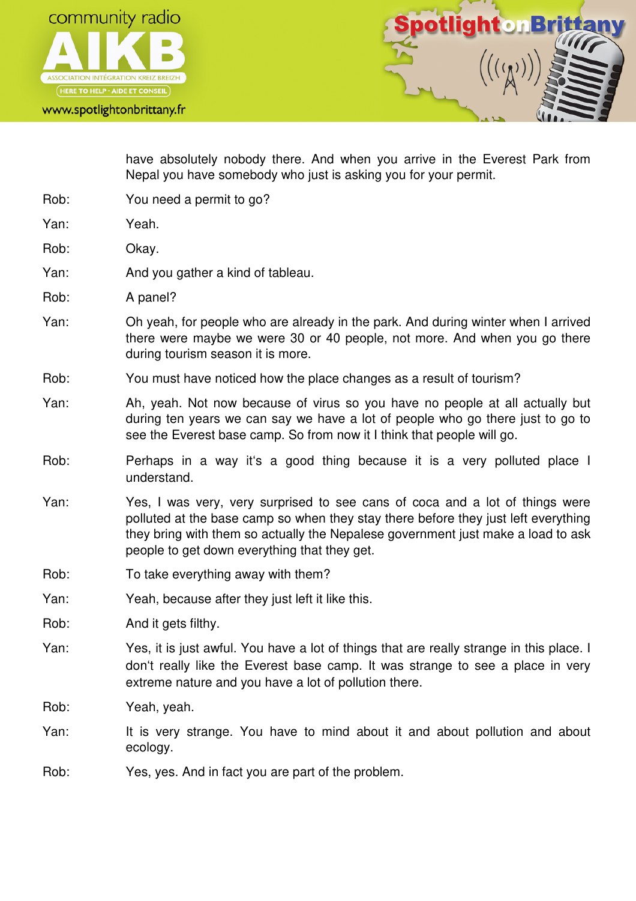



have absolutely nobody there. And when you arrive in the Everest Park from Nepal you have somebody who just is asking you for your permit.

- Rob: You need a permit to go?
- Yan: Yeah.
- Rob: Okay.
- Yan: And you gather a kind of tableau.
- Rob: A panel?
- Yan: Oh yeah, for people who are already in the park. And during winter when I arrived there were maybe we were 30 or 40 people, not more. And when you go there during tourism season it is more.
- Rob: You must have noticed how the place changes as a result of tourism?
- Yan: Ah, yeah. Not now because of virus so you have no people at all actually but during ten years we can say we have a lot of people who go there just to go to see the Everest base camp. So from now it I think that people will go.
- Rob: Perhaps in a way it's a good thing because it is a very polluted place I understand.
- Yan: Yes, I was very, very surprised to see cans of coca and a lot of things were polluted at the base camp so when they stay there before they just left everything they bring with them so actually the Nepalese government just make a load to ask people to get down everything that they get.
- Rob: To take everything away with them?
- Yan: Yeah, because after they just left it like this.
- Rob: And it gets filthy.
- Yan: Yes, it is just awful. You have a lot of things that are really strange in this place. I don't really like the Everest base camp. It was strange to see a place in very extreme nature and you have a lot of pollution there.
- Rob: Yeah, yeah.
- Yan: It is very strange. You have to mind about it and about pollution and about ecology.
- Rob: Yes, yes. And in fact you are part of the problem.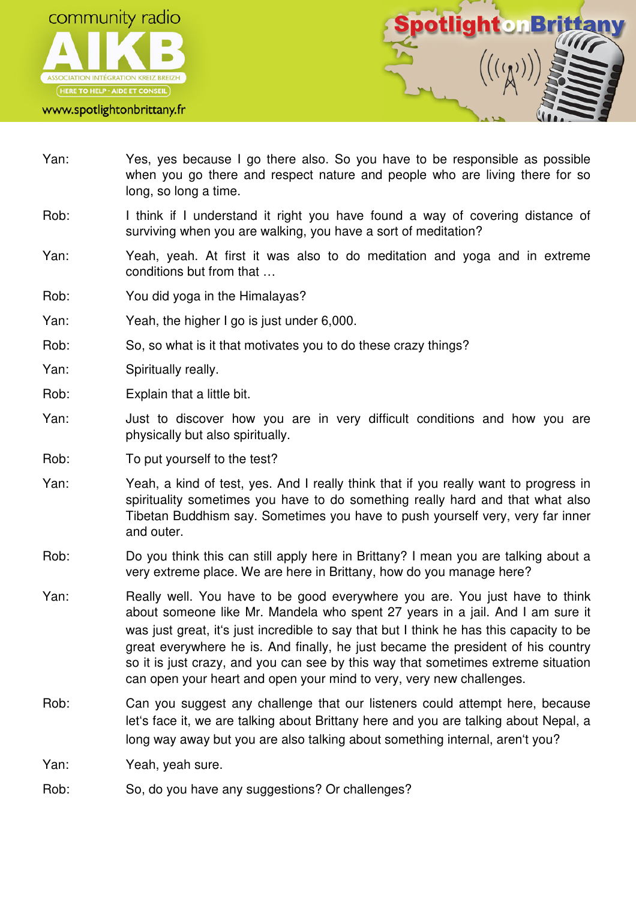



- Yan: Yes, yes because I go there also. So you have to be responsible as possible when you go there and respect nature and people who are living there for so long, so long a time.
- Rob: I think if I understand it right you have found a way of covering distance of surviving when you are walking, you have a sort of meditation?
- Yan: Yeah, yeah. At first it was also to do meditation and yoga and in extreme conditions but from that …
- Rob: You did yoga in the Himalayas?
- Yan: Yeah, the higher I go is just under 6,000.
- Rob: So, so what is it that motivates you to do these crazy things?
- Yan: Spiritually really.
- Rob: Explain that a little bit.
- Yan: Just to discover how you are in very difficult conditions and how you are physically but also spiritually.
- Rob: To put yourself to the test?
- Yan: Yeah, a kind of test, yes. And I really think that if you really want to progress in spirituality sometimes you have to do something really hard and that what also Tibetan Buddhism say. Sometimes you have to push yourself very, very far inner and outer.
- Rob: Do you think this can still apply here in Brittany? I mean you are talking about a very extreme place. We are here in Brittany, how do you manage here?
- Yan: Really well. You have to be good everywhere you are. You just have to think about someone like Mr. Mandela who spent 27 years in a jail. And I am sure it was just great, it's just incredible to say that but I think he has this capacity to be great everywhere he is. And finally, he just became the president of his country so it is just crazy, and you can see by this way that sometimes extreme situation can open your heart and open your mind to very, very new challenges.
- Rob: Can you suggest any challenge that our listeners could attempt here, because let's face it, we are talking about Brittany here and you are talking about Nepal, a long way away but you are also talking about something internal, aren't you?

Yan: Yeah, yeah sure.

Rob: So, do you have any suggestions? Or challenges?